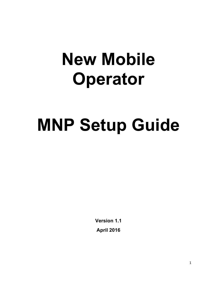# **New Mobile Operator**

# **MNP Setup Guide**

**Version 1.1 April 2016**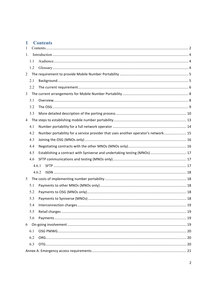# 1 Contents

| 1              |     |                                                                                   |  |  |
|----------------|-----|-----------------------------------------------------------------------------------|--|--|
| 1.             |     |                                                                                   |  |  |
|                | 1.1 |                                                                                   |  |  |
|                | 1.2 |                                                                                   |  |  |
| 2              |     |                                                                                   |  |  |
|                | 2.1 |                                                                                   |  |  |
|                | 2.2 |                                                                                   |  |  |
| 3              |     |                                                                                   |  |  |
|                | 3.1 |                                                                                   |  |  |
|                | 3.2 |                                                                                   |  |  |
|                | 3.3 |                                                                                   |  |  |
| $\overline{4}$ |     |                                                                                   |  |  |
|                | 4.1 |                                                                                   |  |  |
|                | 4.2 | Number portability for a service provider that uses another operator's network 15 |  |  |
|                | 4.3 |                                                                                   |  |  |
|                | 4.4 |                                                                                   |  |  |
|                | 4.5 |                                                                                   |  |  |
|                | 4.6 |                                                                                   |  |  |
|                |     | 4.6.1                                                                             |  |  |
|                |     | 4.6.2                                                                             |  |  |
| 5              |     |                                                                                   |  |  |
|                | 5.1 |                                                                                   |  |  |
|                | 5.2 |                                                                                   |  |  |
|                | 5.3 |                                                                                   |  |  |
|                | 5.4 |                                                                                   |  |  |
|                | 5.5 |                                                                                   |  |  |
|                | 5.6 |                                                                                   |  |  |
|                |     |                                                                                   |  |  |
|                | 6.1 |                                                                                   |  |  |
|                | 6.2 |                                                                                   |  |  |
|                | 6.3 |                                                                                   |  |  |
|                |     |                                                                                   |  |  |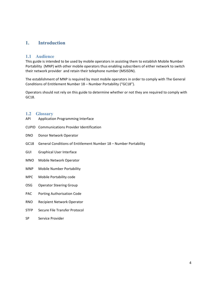## **1. Introduction**

#### **1.1 Audience**

This guide is intended to be used by mobile operators in assisting them to establish Mobile Number Portability (MNP) with other mobile operators thus enabling subscribers of either network to switch their network provider and retain their telephone number (MSISDN).

The establishment of MNP is required by most mobile operators in order to comply with The General Conditions of Entitlement Number 18 - Number Portability ("GC18").

Operators should not rely on this guide to determine whether or not they are required to comply with GC18. 

#### **1.2 Glossary**

- API Application Programming Interface
- CUPID Communications Provider Identification
- DNO Donor Network Operator
- GC18 General Conditions of Entitlement Number 18 Number Portability
- GUI Graphical User Interface
- MNO Mobile Network Operator
- MNP Mobile Number Portability
- MPC Mobile Portability code
- OSG Operator Steering Group
- PAC Porting Authorisation Code
- RNO Recipient Network Operator
- STFP Secure File Transfer Protocol
- SP Service Provider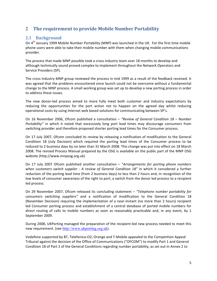# **2** The requirement to provide Mobile Number Portability

## **2.1 Background**

On 4<sup>th</sup> January 1999 Mobile Number Portability (MNP) was launched in the UK. For the first time mobile phone users were able to take their mobile number with them when changing mobile communications provider. 

The process that made MNP possible took a cross industry team over 18 months to develop and although technically sound proved complex to implement throughout the Network Operators and Service Providers (SP).

The cross industry MNP group reviewed the process in mid 1999 as a result of the feedback received. It was agreed that the problems encountered since launch could not be overcome without a fundamental change to the MNP process. A small working group was set up to develop a new porting process in order to address these issues.

The new donor-led process aimed to more fully meet both customer and industry expectations by reducing the opportunities for the port action not to happen on the agreed day whilst reducing operational costs by using Internet web based solutions for communicating between SP's.

On 16 November 2006, Ofcom published a consultation – "Review of General Condition 18 – Number *Portability"* in which it noted that excessively long port lead times may discourage consumers from switching provider and therefore proposed shorter porting lead times for the Consumer process.

On 17 July 2007, Ofcom concluded its review by releasing a notification of modification to the General Condition 18 (July Decision) which required the porting lead times of the Consumer process to be reduced to 2 business days by no later than 31 March 2008. This change was put into effect on 18 March 2008. The revised Process Manual prepared by the OSG is available on the public part of the MNP OSG website (http://www.mnposg.org.uk)

On 17 July 2007 Ofcom published another consultation – "Arrangements for porting phone numbers *when* customers switch supplier - A review of General Condition 18" in which it considered a further reduction of the porting lead time (from 2 business days) to less than 2 hours and, in recognition of the low levels of consumer awareness of the right to port, a switch from the donor led process to a recipient led process.

On 29 November 2007, Ofcom released its concluding statement – "Telephone number portability for *consumers switching suppliers*" and a notification of modification to the General Condition 18 (November Decision) requiring the implementation of a near-instant (no more than 2 hours) recipient led Consumer porting process and establishment of a central database of ported mobile numbers for direct routing of calls to mobile numbers as soon as reasonably practicable and, in any event, by 1 September 2009.

During 2008, UKPorting managed the preparation of the recipient-led new process needed to meet this new requirement. (see http://www.ukporting.org.uk).

Vodafone supported by BT, Telefonica-O2, Orange and T-Mobile appealed to the Competition Appeal Tribunal against the decision of the Office of Communications ("OFCOM") to modify Part 1 and General Condition 18 of Part 2 of the General Conditions regarding number portability, as set out in Annex 2 to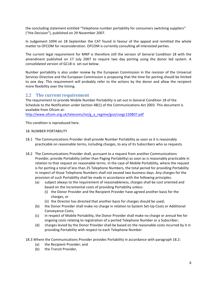the concluding statement entitled "Telephone number portability for consumers switching suppliers" ("the Decision"), published on 29 November 2007.

In Judgement 1094 on 18 September the CAT found in favour of the appeal and remitted the whole matter to OFCOM for reconsideration. OFCOM is currently consulting all interested parties.

The current legal requirement for MNP is therefore still the version of General Condition 18 with the amendment published on 17 July 2007 to require two day porting using the donor led system. A consolidated version of GC18 is set out below.

Number portability is also under review by the European Commission in the revision of the Universal Services Directive and the European Commission is proposing that the time for porting should be limited to one day. This requirement will probably refer to the actions by the donor and allow the recipient more flexibility over the timing.

## **2.2** The current requirement

The requirement to provide Mobile Number Portability is set out in General Condition 18 of the Schedule to the Notification under Section 48(1) of the Communications Act 2003. This document is available from Ofcom at:

http://www.ofcom.org.uk/telecoms/ioi/g\_a\_regime/gce/cvogc150807.pdf

This condition is reproduced here.

#### 18. NUMBER PORTABILITY

- 18.1 The Communications Provider shall provide Number Portability as soon as it is reasonably practicable on reasonable terms, including charges, to any of its Subscribers who so requests.
- 18.2 The Communications Provider shall, pursuant to a request from another Communications Provider, provide Portability (other than Paging Portability) as soon as is reasonably practicable in relation to that request on reasonable terms. In the case of Mobile Portability, where the request is for porting a total of less than 25 Telephone Numbers, the total period for providing Portability in respect of those Telephone Numbers shall not exceed two business days. Any charges for the provision of such Portability shall be made in accordance with the following principles:
	- (a) subject always to the requirement of reasonableness, charges shall be cost oriented and based on the incremental costs of providing Portability unless:
		- (i) the Donor Provider and the Recipient Provider have agreed another basis for the charges, or
		- (ii) the Director has directed that another basis for charges should be used;
	- (b) the Donor Provider shall make no charge in relation to System Set-Up Costs or Additional Conveyance Costs;
	- (c) in respect of Mobile Portability, the Donor Provider shall make no charge or annual fee for ongoing costs relating to registration of a ported Telephone Number or a Subscriber;
	- (d) charges levied by the Donor Provider shall be based on the reasonable costs incurred by it in providing Portability with respect to each Telephone Number.
- 18.3 Where the Communications Provider provides Portability in accordance with paragraph 18.2:
	- (a) the Recipient Provider; and
	- (b) the Transit Provider,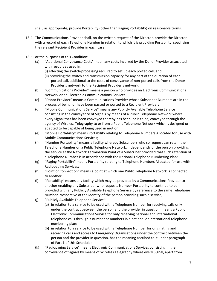shall, as appropriate, provide Portability (other than Paging Portability) on reasonable terms.

- 18.4 The Communications Provider shall, on the written request of the Director, provide the Director with a record of each Telephone Number in relation to which it is providing Portability, specifying the relevant Recipient Provider in each case.
- 18.5 For the purposes of this Condition:
	- (a) "Additional Conveyance Costs" mean any costs incurred by the Donor Provider associated with resources used in:
		- (i) effecting the switch-processing required to set up each ported call; and
		- (ii) providing the switch and transmission capacity for any part of the duration of each ported call, additional to the costs of conveyance of non-ported calls from the Donor Provider's network to the Recipient Provider's network;
	- (b) "Communications Provider" means a person who provides an Electronic Communications Network or an Electronic Communications Service;
	- (c) "Donor Provider" means a Communications Provider whose Subscriber Numbers are in the process of being, or have been passed or ported to a Recipient Provider;
	- (d) "Mobile Communications Service" means any Publicly Available Telephone Service consisting in the conveyance of Signals by means of a Public Telephone Network where every Signal that has been conveyed thereby has been, or is to be, conveyed through the agency of Wireless Telegraphy to or from a Public Telephone Network which is designed or adapted to be capable of being used in motion;
	- (e) "Mobile Portability" means Portability relating to Telephone Numbers Allocated for use with Mobile Communications Services;
	- (f) "Number Portability" means a facility whereby Subscribers who so request can retain their Telephone Number on a Public Telephone Network, independently of the person providing the service at the Network Termination Point of a Subscriber provided that such retention of a Telephone Number is in accordance with the National Telephone Numbering Plan;
	- (g) "Paging Portability" means Portability relating to Telephone Numbers Allocated for use with Radiopaging Services;
	- (h) "Point of Connection" means a point at which one Public Telephone Network is connected to another;
	- (i) "Portability" means any facility which may be provided by a Communications Provider to another enabling any Subscriber who requests Number Portability to continue to be provided with any Publicly Available Telephone Service by reference to the same Telephone Number irrespective of the identity of the person providing such a service;
	- (j) "Publicly Available Telephone Service":
		- (a) in relation to a service to be used with a Telephone Number for receiving calls only under the contract between the person and the provider in question, means a Public Electronic Communications Service for only receiving national and international telephone calls through a number or numbers in a national or international telephone numbering plan;
		- (b) in relation to a service to be used with a Telephone Number for originating and receiving calls and access to Emergency Organisations under the contract between the person and the provider in question, has the meaning ascribed to it under paragraph 1 of Part 1 of this Schedule;
	- (k) "Radiopaging Service" means Electronic Communications Services consisting in the conveyance of Signals by means of Wireless Telegraphy where every Signal, apart from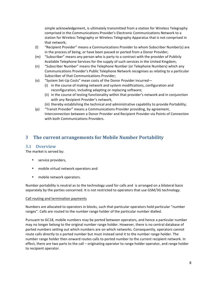simple acknowledgement, is ultimately transmitted from a station for Wireless Telegraphy comprised in the Communications Provider's Electronic Communications Network to a station for Wireless Telegraphy or Wireless Telegraphy Apparatus that is not comprised in that network;

- (I) "Recipient Provider" means a Communications Provider to whom Subscriber Number(s) are in the process of being, or have been passed or ported from a Donor Provider;
- (m) "Subscriber" means any person who is party to a contract with the provider of Publicly Available Telephone Services for the supply of such services in the United Kingdom;
- (n) "Subscriber Number" means the Telephone Number (or Telephone Numbers) which any Communications Provider's Public Telephone Network recognises as relating to a particular Subscriber of that Communications Provider;
- (o) "System Set-Up Costs" mean costs of the Donor Provider incurred-
	- (i) in the course of making network and system modifications, configuration and reconfiguration, including adapting or replacing software;
	- (ii) in the course of testing functionality within that provider's network and in conjunction with any Recipient Provider's network,
	- (iii) thereby establishing the technical and administrative capability to provide Portability;
- (p) "Transit Provider" means a Communications Provider providing, by agreement, Interconnection between a Donor Provider and Recipient Provider via Points of Connection with both Communications Providers.

# **3** The current arrangements for Mobile Number Portability

## **3.1 Overview**

The market is served by:

- service providers,
- mobile virtual network operators and
- mobile network operators.

Number portability is neutral as to the technology used for calls and is arranged on a bilateral basis separately by the parties concerned. It is not restricted to operators that use GSM/3G technology.

#### Call routing and termination payments

Numbers are allocated to operators in blocks, such that particular operators hold particular "number ranges". Calls are routed to the number range holder of the particular number dialled.

Pursuant to GC18, mobile numbers may be ported between operators, and hence a particular number may no longer belong to the original number range holder. However, there is no central database of ported numbers setting out which numbers are on which networks. Consequently, operators cannot route calls directly to a ported number but must instead send it to the number range holder. The number range holder then onward routes calls to ported number to the current recipient network. In effect, there are two parts to the call – originating operator to range holder operator, and range holder to recipient operator.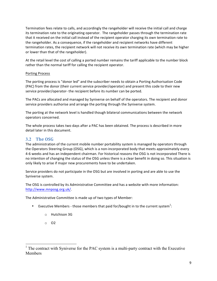Termination fees relate to calls, and accordingly the rangeholder will receive the initial call and charge its termination rate to the originating operator. The rangeholder passes through the termination rate that it received on the initial call instead of the recipient operator charging its own termination rate to the rangeholder. As a consequence, if the rangeholder and recipient networks have different termination rates, the recipient network will not receive its own termination rate (which may be higher or lower than that of the rangeholder).

At the retail level the cost of calling a ported number remains the tariff applicable to the number block rather than the normal tariff for calling the recipient operator.

#### Porting Process

The porting process is "donor led" and the subscriber needs to obtain a Porting Authorisation Code (PAC) from the donor (their current service provider/operator) and present this code to their new service provider/operator- the recipient before its number can be ported.

The PACs are allocated and managed by Syniverse on behalf of the operators. The recipient and donor service providers authorise and arrange the porting through the Syniverse system.

The porting at the network level is handled though bilateral communications between the network operators concerned.

The whole process takes two days after a PAC has been obtained. The process is described in more detail later in this document.

#### **3.2 The OSG**

The administration of the current mobile number portability system is managed by operators through the Operators Steering Group (OSG), which is a non-incorporated body that meets approximately every 4-6 weeks and has an independent chairman. For historical reasons the OSG is not incorporated There is no intention of changing the status of the OSG unless there is a clear benefit in doing so. This situation is only likely to arise if major new procurements have to be undertaken.

Service providers do not participate in the OSG but are involved in porting and are able to use the Syniverse system.

The OSG is controlled by its Administrative Committee and has a website with more information: http://www.mnposg.org.uk/. 

The Administrative Committee is made up of two types of Member:

- Executive Members those members that paid for/bought in to the current system<sup>1</sup>:
	- o Hutchison 3G
	- o O2

<sup>&</sup>lt;sup>1</sup> The contract with Syniverse for the PAC system is a multi-party contract with the Executive **Members**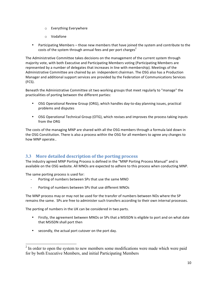- $\circ$  Everything Everywhere
- o Vodafone
- Participating Members those new members that have joined the system and contribute to the costs of the system through annual fees and per port charges<sup>2</sup>

The Administrative Committee takes decisions on the management of the current system through majority vote, with both Executive and Participating Members voting (Participating Members are represented by a number of delegates that increases in line with membership). Meetings of the Administrative Committee are chaired by an independent chairman. The OSG also has a Production Manager and additional support services are provided by the Federation of Communications Services (FCS).

Beneath the Administrative Committee sit two working groups that meet regularly to "manage" the practicalities of porting between the different parties:

- OSG Operational Review Group (ORG), which handles day-to-day planning issues, practical problems and disputes
- OSG Operational Technical Group (OTG), which revises and improves the process taking inputs from the ORG

The costs of the managing MNP are shared with all the OSG members through a formula laid down in the OSG Constitution. There is also a process within the OSG for all members to agree any changes to how MNP operate..

## **3.3** More detailed description of the porting process

The industry agreed MNP Porting Process is defined in the "MNP Porting Process Manual" and is available on the OSG website. All MNOs are expected to adhere to this process when conducting MNP.

The same porting process is used for:

- Porting of numbers between SPs that use the same MNO
- Porting of numbers between SPs that use different MNOs

The MNP process may or may not be used for the transfer of numbers between NOs where the SP remains the same. SPs are free to administer such transfers according to their own internal processes.

The porting of numbers in the UK can be considered in two parts.

- Firstly, the agreement between MNOs or SPs that a MSISDN is eligible to port and on what date that MSISDN shall port then
- secondly, the actual port cutover on the port day.

<sup>&</sup>lt;sup>2</sup> In order to open the system to new members some modifications were made which were paid for by both Executive Members, and initial Participating Members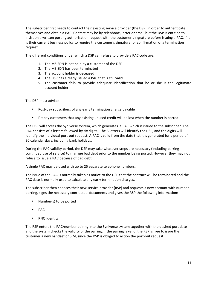The subscriber first needs to contact their existing service provider (the DSP) in order to authenticate themselves and obtain a PAC. Contact may be by telephone, letter or email but the DSP is entitled to insist on a written porting authorisation request with the customer's signature before issuing a PAC, if it is their current business policy to require the customer's signature for confirmation of a termination request.

The different conditions under which a DSP can refuse to provide a PAC code are:

- 1. The MSISDN is not held by a customer of the DSP
- 2. The MSISDN has been terminated
- 3. The account holder is deceased
- 4. The DSP has already issued a PAC that is still valid.
- 5. The customer fails to provide adequate identification that he or she is the legitimate account holder.

The DSP must advise:

- Post-pay subscribers of any early termination charge payable
- Prepay customers that any existing unused credit will be lost when the number is ported.

The DSP will access the Syniverse system, which generates a PAC which is issued to the subscriber. The PAC consists of 3 letters followed by six digits. The 3 letters will identify the DSP, and the digits will identify the individual port-out request. A PAC is valid from the date that it is generated for a period of 30 calendar days, including bank holidays.

During the PAC validity period, the DSP may take whatever steps are necessary (including barring continued use of service) to manage bad debt prior to the number being ported. However they may not refuse to issue a PAC because of bad debt.

A single PAC may be used with up to 25 separate telephone numbers.

The issue of the PAC is normally taken as notice to the DSP that the contract will be terminated and the PAC date is normally used to calculate any early termination charges.

The subscriber then chooses their new service provider (RSP) and requests a new account with number porting, signs the necessary contractual documents and gives the RSP the following information:

- Number(s) to be ported
- PAC
- RNO identity

The RSP enters the PAC/number pairing into the Syniverse system together with the desired port date and the system checks the validity of the pairing. If the pairing is valid, the RSP is free to issue the customer a new handset or SIM, since the DSP is obliged to action the port-out request.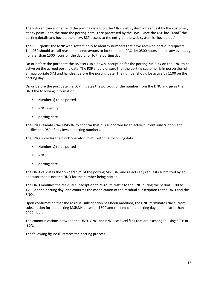The RSP can cancel or amend the porting details on the MNP web system, on request by the customer, at any point up to the time the porting details are processed by the DSP. Once the DSP has "read" the porting details and locked the entry, RSP access to the entry on the web system is "locked out".

The DSP "polls" the MNP web system daily to identify numbers that have received port-out requests. The DSP should use all reasonable endeavours to lock the read PACs by 0500 hours and, in any event, by no later than 1500 hours on the day prior to the porting day.

On or before the port date the RSP sets up a new subscription for the porting MSISDN on the RNO to be active on the agreed porting date. The RSP should ensure that the porting customer is in possession of an appropriate SIM and handset before the porting date. The number should be active by 1100 on the porting day.

On or before the port date the DSP initiates the port-out of the number from the DNO and gives the DNO the following information:

- Number(s) to be ported
- RNO identity
- porting date

The DNO validates the MSISDN to confirm that it is supported by an active current subscription and notifies the DSP of any invalid porting numbers.

The DNO provides the block operator (ONO) with the following data:

- Number(s) to be ported
- RNO
- porting date

The ONO validates the "ownership" of the porting MSISDN, and rejects any requests submitted by an operator that is not the DNO for the number being ported.

The ONO modifies the residual subscription to re-route traffic to the RNO during the period 1100 to 1400 on the porting day, and confirms the modification of the residual subscription to the DNO and the RNO.

Upon confirmation that the residual subscription has been modified, the DNO terminates the current subscription for the porting MSISDN between 1600 and the end of the porting day (i.e. no later than 2400 hours).

The communications between the DNO, ONO and RNO use Excel files that are exchanged using SFTP or ISDN.

The following figure illustrates the porting process.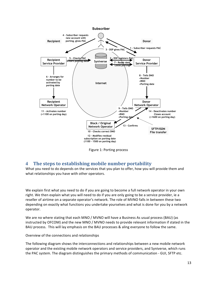

Figure 1: Porting process

# **4** The steps to establishing mobile number portability

What you need to do depends on the services that you plan to offer, how you will provide them and what relationships you have with other operators.

We explain first what you need to do if you are going to become a full network operator in your own right. We then explain what you will need to do if you are only going to be a service provider, ie a reseller of airtime on a separate operator's network. The role of MVNO falls in between these two depending on exactly what functions you undertake yourselves and what is done for you by a network operator. 

We are no where stating that each MNO / MVNO will have a Business As usual process (BAU) (as instructed by OFCOM) and the new MNO / MVNO needs to provide relevant information if stated in the BAU process. This will lay emphasis on the BAU processes & aling everyone to follow the same.

Overview of the connections and relationships

The following diagram shows the interconnections and relationships between a new mobile network operator and the existing mobile network operators and service providers, and Syniverse, which runs the PAC system. The diagram distinguishes the primary methods of communication - GUI, SFTP etc.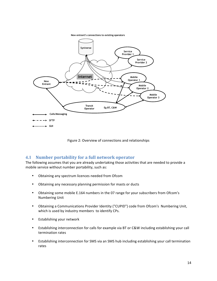**New entrant's connections to existing operators**



Figure 2: Overview of connections and relationships

## **4.1 Number portability for a full network operator**

The following assumes that you are already undertaking those activities that are needed to provide a mobile service without number portability, such as:

- Obtaining any spectrum licences needed from Ofcom
- Obtaining any necessary planning permission for masts or ducts
- Obtaining some mobile E.164 numbers in the 07 range for your subscribers from Ofcom's **Numbering Unit**
- Obtaining a Communications Provider Identity ("CUPID") code from Ofcom's Numbering Unit, which is used by industry members to identify CPs.
- Establishing your network
- Establishing interconnection for calls for example via BT or C&W including establishing your call termination rates
- Establishing interconnection for SMS via an SMS hub including establishing your call termination rates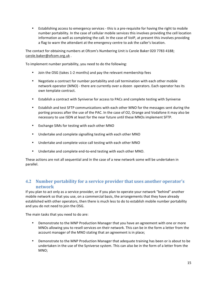• Establishing access to emergency services - this is a pre-requisite for having the right to mobile number portability. In the case of cellular mobile services this involves providing the cell location information as well as completing the call. In the case of VoIP, at present this involves providing a flag to warn the attendant at the emergency centre to ask the caller's location.

The contact for obtaining numbers at Ofcom's Numbering Unit is Carole Baker 020 7783 4188; carole.baker@ofcom.org.uk .

To implement number portability, you need to do the following:

- Join the OSG (takes 1-2 months) and pay the relevant membership fees
- Negotiate a contract for number portability and call termination with each other mobile network operator (MNO) - there are currently over a dozen operators. Each operator has its own template contract.
- Establish a contract with Syniverse for access to PACs and complete testing with Syniverse
- Establish and test SFTP communications with each other MNO for the messages sent during the porting process after the use of the PAC. In the case of O2, Orange and Vodafone it may also be necessary to use ISDN at least for the near future until these MNOs implement SFTP.
- Exchange SIMs for testing with each other MNO
- Undertake and complete signalling testing with each other MNO
- Undertake and complete voice call testing with each other MNO
- Undertake and complete end-to-end testing with each other MNO.

These actions are not all sequential and in the case of a new network some will be undertaken in parallel.

## **4.2** Number portability for a service provider that uses another operator's **network**

If you plan to act only as a service provider, or if you plan to operate your network "behind" another mobile network so that you use, on a commercial basis, the arrangements that they have already established with other operators, then there is much less to do to establish mobile number portability and you do not need to join the OSG.

The main tasks that you need to do are:

- Demonstrate to the MNP Production Manager that you have an agreement with one or more MNOs allowing you to resell services on their network. This can be in the form a letter from the account manager of the MNO stating that an agreement is in place;
- Demonstrate to the MNP Production Manager that adequate training has been or is about to be undertaken in the use of the Syniverse system. This can also be in the form of a letter from the MNO;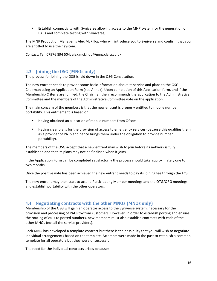• Establish connectivity with Syniverse allowing access to the MNP system for the generation of PACs and complete testing with Syniverse;

The MNP Production Manager is Alex McKillop who will introduce you to Syniverse and confirm that you are entitled to use their system.

Contact: Tel: 07976 894 504; alex.mckillop@mnp.clara.co.uk

## **4.3 Joining the OSG (MNOs only)**

The process for joining the OSG is laid down in the OSG Constitution.

The new entrant needs to provide some basic information about its service and plans to the OSG Chairman using an Application Form (see Annex). Upon completion of this Application form, and if the Membership Criteria are fulfilled, the Chairman then recommends the application to the Administrative Committee and the members of the Administrative Committee vote on the application.

The main concern of the members is that the new entrant is properly entitled to mobile number portability. This entitlement is based on:

- Having obtained an allocation of mobile numbers from Ofcom
- Having clear plans for the provision of access to emergency services (because this qualifies them as a provider of PATS and hence brings them under the obligation to provide number portability).

The members of the OSG accept that a new entrant may wish to join before its network is fully established and that its plans may not be finalised when it joins.

If the Application Form can be completed satisfactorily the process should take approximately one to two months.

Once the positive vote has been achieved the new entrant needs to pay its joining fee through the FCS.

The new entrant may then start to attend Participating Member meetings and the OTG/ORG meetings and establish portability with the other operators.

## **4.4** Negotiating contracts with the other MNOs (MNOs only)

Membership of the OSG will gain an operator access to the Syniverse system, necessary for the provision and processing of PACs to/from customers. However, in order to establish porting and ensure the routing of calls to ported numbers, new members must also establish contracts with each of the other MNOs (not all the service providers).

Each MNO has developed a template contract but there is the possibility that you will wish to negotiate individual arrangements based on the template. Attempts were made in the past to establish a common template for all operators but they were unsuccessful.

The need for the individual contracts arises because: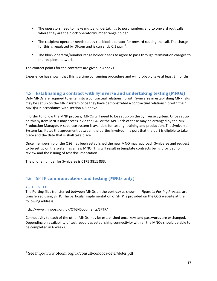- The operators need to make mutual undertakings to port numbers and to onward rout calls where they are the block operator/number range holder.
- The recipient operator needs to pay the block operator for onward routing the call. The charge for this is regulated by Ofcom and is currently 0.1  $ppm<sup>3</sup>$ .
- The block operator/number range holder needs to agree to pass through termination charges to the recipient network.

The contact points for the contracts are given in Annex C.

Experience has shown that this is a time consuming procedure and will probably take at least 3 months.

#### **4.5 Establishing a contract with Syniverse and undertaking testing (MNOs)**

Only MNOs are required to enter into a contractual relationship with Syniverse in establishing MNP. SPs may be set up on the MNP system once they have demonstrated a contractual relationship with their  $MNO(s)$  in accordance with section 4.3 above.

In order to follow the MNP process, MNOs will need to be set up on the Syniverse System. Once set up on this system MNOs may access it via the GUI or the API. Each of these may be arranged by the MNP Production Manager. A separate system is available for testing, training and production. The Syniverse System facilitates the agreement between the parties involved in a port that the port is eligible to take place and the date that is shall take place.

Once membership of the OSG has been established the new MNO may approach Syniverse and request to be set up on the system as a new MNO. This will result in template contracts being provided for review and the issuing of test documentation.

The phone number for Syniverse is 0175 3811 833.

# **4.6 SFTP** communications and testing (MNOs only)

#### **4.6.1 SFTP**

The Porting files transferred between MNOs on the port day as shown in Figure 1: *Porting Process*, are transferred using SFTP. The particular implementation of SFTP is provided on the OSG website at the following address:

http://www.mnposg.org.uk/OTG/Documents/SFTP/ 

Connectivity to each of the other MNOs may be established once keys and passwords are exchanged. Depending on availability of test resources establishing connectivity with all the MNOs should be able to be completed in 6 weeks.

 <sup>3</sup> See http://www.ofcom.org.uk/consult/condocs/deter/deter.pdf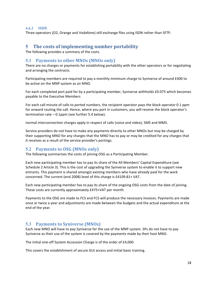#### **4.6.2 ISDN**

Three operators (O2, Orange and Vodafone) still exchange files using ISDN rather than SFTP.

## **5** The costs of implementing number portability

The following provides a summary of the costs.

#### **5.1 Payments to other MNOs (MNOs only)**

There are no charges or payments for establishing portability with the other operators or for negotiating and arranging the contracts.

Participating members are required to pay a monthly minimum charge to Syniverse of around £400 to be active on the MNP system as an MNO.

For each completed port paid for by a participating member, Syniverse withholds £0.075 which becomes payable to the Executive Members

For each call minute of calls to ported numbers, the recipient operator pays the block operator 0.1 ppm for onward routing the call. Hence, where you port in customers, you will receive the block operator's termination rate  $-0.1$ ppm (see further 5.4 below).

normal interconnection charges apply in respect of calls (voice and video), SMS and MMS.

Service providers do not have to make any payments directly to other MNOs but may be charged by their supporting MNO for any charges that the MNO has to pay or may be credited for any charges that it receives as a result of the service provider's portings.

## **5.2** Payments to OSG (MNOs only)

The following summarises the costs of joining OSG as a Participating Member.

Each new participating member has to pay its share of the All Members' Capital Expenditure (see Schedule 2 Article 3). This is the cost of upgrading the Syniverse system to enable it to support new entrants. This payment is shared amongst existing members who have already paid for the work concerned. The current (end 2008) level of this charge is £4109.81+ VAT.

Each new participating member has to pay its share of the ongoing OSG costs from the date of joining. These costs are currently approximately £475+VAT per month.

Payments to the OSG are made to FCS and FCS will produce the necessary invoices. Payments are made once or twice a year and adjustments are made between the budgets and the actual expenditure at the end of the year.

#### **5.3** Payments to Syniverse (MNOs)

Each new MNO will have to pay Syniverse for the use of the MNP system. SPs do not have to pay Syniverse as their use of the system is covered by the payments made by their host MNO.

The initial one-off System Accession Charge is of the order of £4,000.

This covers the establishment of secure GUI access and initial basic training.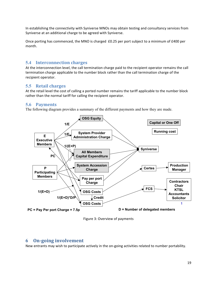In establishing the connectivity with Syniverse MNOs may obtain testing and consultancy services from Syniverse at an additional charge to be agreed with Syniverse.

Once porting has commenced, the MNO is charged £0.25 per port subject to a minimum of £400 per month. 

#### **5.4 Interconnection charges**

At the interconnection level, the call termination charge paid to the recipient operator remains the call termination charge applicable to the number block rather than the call termination charge of the recipient operator.

#### **5.5 Retail charges**

At the retail level the cost of calling a ported number remains the tariff applicable to the number block rather than the normal tariff for calling the recipient operator.

#### **5.6 Payments**

The following diagram provides a summary of the different payments and how they are made.



Figure 3: Overview of payments

#### **6 On-going involvement**

New entrants may wish to participate actively in the on-going activities related to number portability.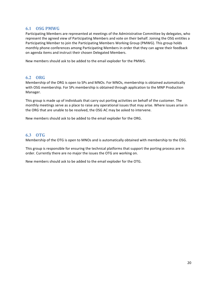## **6.1 OSG PMWG**

Participating Members are represented at meetings of the Administrative Committee by delegates, who represent the agreed view of Participating Members and vote on their behalf. Joining the OSG entitles a Participating Member to join the Participating Members Working Group (PMWG). This group holds monthly phone conferences among Participating Members in order that they can agree their feedback on agenda items and instruct their chosen Delegated Members.

New members should ask to be added to the email exploder for the PMWG.

#### **6.2 ORG**

Membership of the ORG is open to SPs and MNOs. For MNOs, membership is obtained automatically with OSG membership. For SPs membership is obtained through application to the MNP Production Manager.

This group is made up of individuals that carry out porting activities on behalf of the customer. The monthly meetings serve as a place to raise any operational issues that may arise. Where issues arise in the ORG that are unable to be resolved, the OSG AC may be asked to intervene.

New members should ask to be added to the email exploder for the ORG.

## **6.3 OTG**

Membership of the OTG is open to MNOs and is automatically obtained with membership to the OSG.

This group is responsible for ensuring the technical platforms that support the porting process are in order. Currently there are no major the issues the OTG are working on.

New members should ask to be added to the email exploder for the OTG.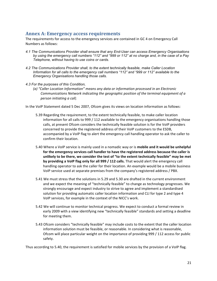# Annex A: Emergency access requirements

The requirements for access to the emergency services are contained in GC 4 on Emergency Call Numbers as follows:

- *4.1 The Communications Provider shall ensure that any End-User can access Emergency Organisations by using the emergency call numbers "112" and "999 or 112" at no charge and, in the case of a Pay Telephone, without having to use coins or cards.*
- *4.2 The Communications Provider shall, to the extent technically feasible, make Caller Location Information for all calls to the emergency call numbers "112" and "999 or 112" available to the Emergency Organisations handling those calls.*
- *4.3 For the purposes of this Condition,* 
	- (a) "Caller Location Information" means any data or information processed in an Electronic *Communications Network indicating the geographic position of the terminal equipment of a person initiating a call;*

In the VoIP Statement dated 5 Dec 2007, Ofcom gives its views on location information as follows:

- 5.39 Regarding the requirement, to the extent technically feasible, to make caller location information for all calls to 999 / 112 available to the emergency organisations handling those calls, at present Ofcom considers the technically feasible solution is for the VoIP providers concerned to provide the registered address of their VoIP customers to the ESDB, accompanied by a VoIP flag to alert the emergency call handling operator to ask the caller to confirm their location.
- 5.40 Where a VoIP service is mainly used in a nomadic way or is **mobile and it would be unhelpful** for the emergency services call handler to have the registered address because the caller is unlikely to be there, we consider the test of "to the extent technically feasible" may be met by providing a VoIP flag only for all 999 / 112 calls. That would alert the emergency call handling operator to ask the caller for their location. An example would be a mobile business VoIP service used at separate premises from the company's registered address / PBX.
- 5.41 We must stress that the solutions in 5.29 and 5.30 are drafted in the current environment and we expect the meaning of "technically feasible" to change as technology progresses. We strongly encourage and expect industry to strive to agree and implement a standardised solution for providing automatic caller location information and CLI for type 2 and type 4 VoIP services, for example in the context of the NICC's work.
- 5.42 We will continue to monitor technical progress. We expect to conduct a formal review in early 2009 with a view identifying new "technically feasible" standards and setting a deadline for meeting them.
- 5.43 Ofcom considers "technically feasible" may include costs to the extent that the caller location information solution must be feasible, or reasonable. In considering what is reasonable, Ofcom will place particular weight on the importance of providing 999 / 112 access for public safety.

Thus according to 5.40, the requirement is satisfied for mobile services by the provision of a VoIP flag.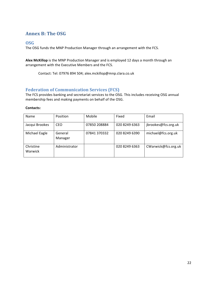# **Annex B: The OSG**

#### **OSG**

The OSG funds the MNP Production Manager through an arrangement with the FCS.

Alex McKillop is the MNP Production Manager and is employed 12 days a month through an arrangement with the Executive Members and the FCS.

Contact: Tel: 07976 894 504; alex.mckillop@mnp.clara.co.uk

## **Federation of Communication Services (FCS)**

The FCS provides banking and secretariat services to the OSG. This includes receiving OSG annual membership fees and making payments on behalf of the OSG.

#### **Contacts:**

| <b>Name</b>          | Position           | Mobile       | Fixed         | Email               |
|----------------------|--------------------|--------------|---------------|---------------------|
| Jacqui Brookes       | CEO                | 07850 208884 | 020 8249 6363 | jbrookes@fcs.org.uk |
| Michael Eagle        | General<br>Manager | 07841 370332 | 020 8249 6390 | michael@fcs.org.uk  |
| Christine<br>Warwick | Administrator      |              | 020 8249 6363 | CWarwick@fcs.org.uk |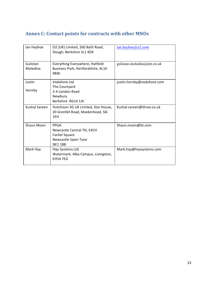# Annex C: Contact points for contracts with other MNOs

| lan Hayhoe           | O2 (UK) Limited, 260 Bath Road,<br>Slough, Berkshire SL1 4DX                                 | $ian.$ hayhoe $@$ o2.com   |
|----------------------|----------------------------------------------------------------------------------------------|----------------------------|
| Gulistan<br>Moledina | Everything Everywhere, Hatfield<br>Business Park, Hertfordshire, AL10<br>9BW                 | gulistan.moledina@ee.co.uk |
| Justin<br>Hornby     | Vodafone Ltd<br>The Courtyard<br>2-4 London Road<br>Newbury<br>Berkshire RG14 1JX            | justin.hornby@vodafone.com |
| <b>Kushal Sareen</b> | Hutchison 3G UK Limited, Star House,<br>20 Grenfell Road, Maidenhead, SI6<br>1FH             | Kushal.sareen@three.co.uk  |
| Shaun Moon           | PPGA<br>Newcastle Central TEL EXCH<br>Carliol Square<br>Newcastle Upon Tyne<br><b>NF11BB</b> | Shaun.moon@bt.com          |
| Mark Hay             | Hay Systems Ltd<br>Watermark, Alba Campus, Livingston,<br><b>FH54 7FG</b>                    | Mark.hay@haysystems.com    |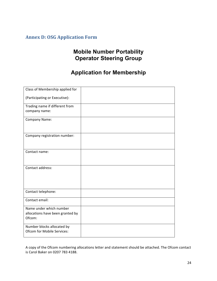# **Annex D: OSG Application Form**

# **Mobile Number Portability Operator Steering Group**

# **Application for Membership**

| Class of Membership applied for                                       |  |
|-----------------------------------------------------------------------|--|
| (Participating or Executive):                                         |  |
| Trading name if different from                                        |  |
| company name:                                                         |  |
| Company Name:                                                         |  |
| Company registration number:                                          |  |
| Contact name:                                                         |  |
| Contact address:                                                      |  |
| Contact telephone:                                                    |  |
| Contact email:                                                        |  |
| Name under which number<br>allocations have been granted by<br>Ofcom: |  |
| Number blocks allocated by<br>Ofcom for Mobile Services:              |  |

A copy of the Ofcom numbering allocations letter and statement should be attached. The Ofcom contact is Carol Baker on 0207 783 4188.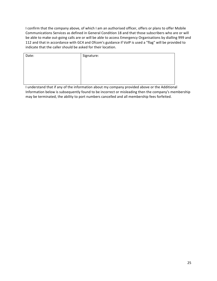I confirm that the company above, of which I am an authorised officer, offers or plans to offer Mobile Communications Services as defined in General Condition 18 and that those subscribers who are or will be able to make out-going calls are or will be able to access Emergency Organisations by dialling 999 and 112 and that in accordance with GC4 and Ofcom's guidance if VoIP is used a "flag" will be provided to indicate that the caller should be asked for their location.

| Date: | Signature: |
|-------|------------|
|       |            |
|       |            |
|       |            |
|       |            |
|       |            |
|       |            |
|       |            |
|       |            |
|       |            |
|       |            |
|       |            |

I understand that if any of the information about my company provided above or the Additional Information below is subsequently found to be incorrect or misleading then the company's membership may be terminated, the ability to port numbers cancelled and all membership fees forfeited.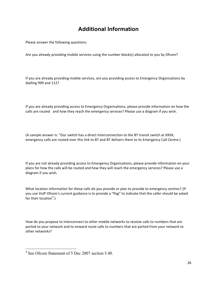# **Additional Information**

Please answer the following questions:

Are you already providing mobile services using the number block(s) allocated to you by Ofcom?

If you are already providing mobile services, are you providing access to Emergency Organisations by dialling 999 and 112?

If you are already providing access to Emergency Organisations, please provide information on how the calls are routed and how they reach the emergency services? Please use a diagram if you wish.

(A sample answer is: "Our switch has a direct interconnection to the BT transit switch at XXXX, emergency calls are routed over this link to BT and BT delivers them to its Emergency Call Centre.)

If you are not already providing access to Emergency Organisations, please provide information on your plans for how the calls will be routed and how they will reach the emergency services? Please use a diagram if you wish.

What location information for these calls do you provide or plan to provide to emergency centres? (If you use VoIP Ofcom's current guidance is to provide a "flag" to indicate that the caller should be asked for their location<sup>4</sup>.)

How do you propose to interconnect to other mobile networks to receive calls to numbers that are ported to your network and to onward route calls to numbers that are ported from your network to other networks?

 <sup>4</sup> See Ofcom Statement of 5 Dec 2007 section 5.40.